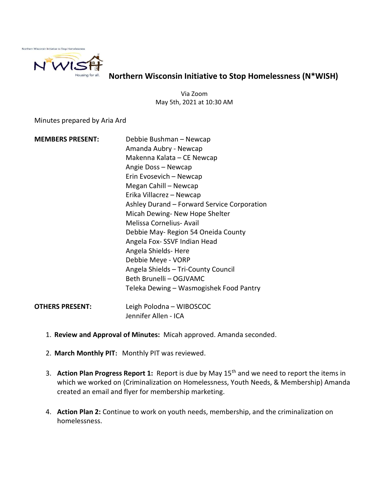

Northern Wisconsin Initiative to Stop Homelessness (N\*WISH)

Via Zoom May 5th, 2021 at 10:30 AM

Minutes prepared by Aria Ard

- MEMBERS PRESENT: Debbie Bushman Newcap Amanda Aubry - Newcap Makenna Kalata – CE Newcap Angie Doss – Newcap Erin Evosevich – Newcap Megan Cahill – Newcap Erika Villacrez – Newcap Ashley Durand – Forward Service Corporation Micah Dewing- New Hope Shelter Melissa Cornelius- Avail Debbie May- Region 54 Oneida County Angela Fox- SSVF Indian Head Angela Shields- Here Debbie Meye - VORP Angela Shields – Tri-County Council Beth Brunelli – OGJVAMC Teleka Dewing – Wasmogishek Food Pantry OTHERS PRESENT: Leigh Polodna – WIBOSCOC Jennifer Allen - ICA
	- 1. Review and Approval of Minutes: Micah approved. Amanda seconded.
	- 2. March Monthly PIT: Monthly PIT was reviewed.
	- 3. Action Plan Progress Report 1: Report is due by May  $15<sup>th</sup>$  and we need to report the items in which we worked on (Criminalization on Homelessness, Youth Needs, & Membership) Amanda created an email and flyer for membership marketing.
	- 4. Action Plan 2: Continue to work on youth needs, membership, and the criminalization on homelessness.